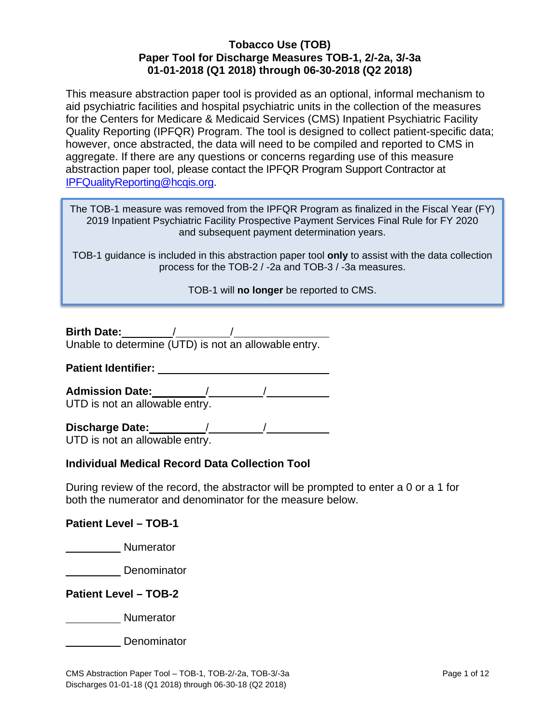This measure abstraction paper tool is provided as an optional, informal mechanism to aid psychiatric facilities and hospital psychiatric units in the collection of the measures for the Centers for Medicare & Medicaid Services (CMS) Inpatient Psychiatric Facility Quality Reporting (IPFQR) Program. The tool is designed to collect patient-specific data; however, once abstracted, the data will need to be compiled and reported to CMS in aggregate. If there are any questions or concerns regarding use of this measure abstraction paper tool, please contact the IPFQR Program Support Contractor at [IPFQualityReporting@hcqis.org.](mailto:IPFQualityReporting@hcqis.org)

The TOB-1 measure was removed from the IPFQR Program as finalized in the Fiscal Year (FY) 2019 Inpatient Psychiatric Facility Prospective Payment Services Final Rule for FY 2020 and subsequent payment determination years.

TOB-1 guidance is included in this abstraction paper tool **only** to assist with the data collection process for the TOB-2 / -2a and TOB-3 / -3a measures.

TOB-1 will **no longer** be reported to CMS.

**Birth Date:** / / Unable to determine (UTD) is not an allowable entry.

**Patient Identifier:** 

**Admission Date:** / / UTD is not an allowable entry.

**Discharge Date:** / /

UTD is not an allowable entry.

### **Individual Medical Record Data Collection Tool**

During review of the record, the abstractor will be prompted to enter a 0 or a 1 for both the numerator and denominator for the measure below.

### **Patient Level – TOB-1**

**Numerator** 

**Denominator** 

**Patient Level – TOB-2** 

**Numerator** Numerator

Denominator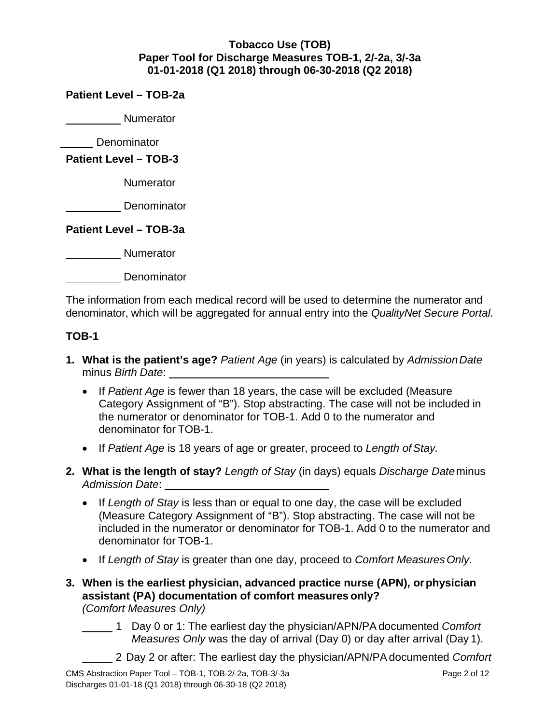**Patient Level – TOB-2a**

**Numerator** 

**Denominator** 

**Patient Level – TOB-3** 

**Numerator** 

**Denominator** 

**Patient Level – TOB-3a**

**Numerator Numerator** 

**Denominator** 

The information from each medical record will be used to determine the numerator and denominator, which will be aggregated for annual entry into the *QualityNet Secure Portal.*

### **TOB-1**

- **1. What is the patient's age?** *Patient Age* (in years) is calculated by *AdmissionDate* minus *Birth Date*:
	- If Patient Age is fewer than 18 years, the case will be excluded (Measure Category Assignment of "B"). Stop abstracting. The case will not be included in the numerator or denominator for TOB-1. Add 0 to the numerator and denominator for TOB-1.
	- If *Patient Age* is 18 years of age or greater, proceed to *Length ofStay.*
- **2. What is the length of stay?** *Length of Stay* (in days) equals *Discharge Date*minus *Admission Date*:
	- If *Length of Stay* is less than or equal to one day, the case will be excluded (Measure Category Assignment of "B"). Stop abstracting. The case will not be included in the numerator or denominator for TOB-1. Add 0 to the numerator and denominator for TOB-1.
	- If *Length of Stay* is greater than one day, proceed to *Comfort MeasuresOnly*.
- **3. When is the earliest physician, advanced practice nurse (APN), orphysician assistant (PA) documentation of comfort measures only?** *(Comfort Measures Only)*
	- 1 Day 0 or 1: The earliest day the physician/APN/PAdocumented *Comfort Measures Only* was the day of arrival (Day 0) or day after arrival (Day 1).
		- 2 Day 2 or after: The earliest day the physician/APN/PAdocumented *Comfort*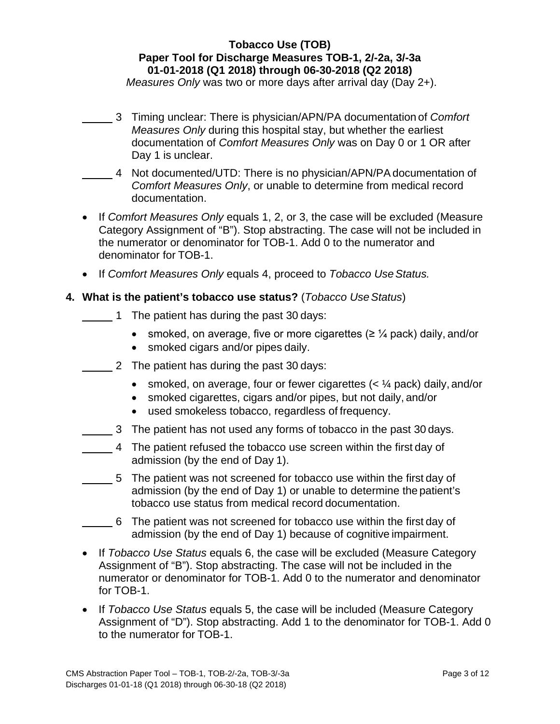*Measures Only* was two or more days after arrival day (Day 2+).

- 3 Timing unclear: There is physician/APN/PA documentation of *Comfort Measures Only* during this hospital stay, but whether the earliest documentation of *Comfort Measures Only* was on Day 0 or 1 OR after Day 1 is unclear.
	- 4 Not documented/UTD: There is no physician/APN/PAdocumentation of *Comfort Measures Only*, or unable to determine from medical record documentation.
- If *Comfort Measures Only* equals 1, 2, or 3, the case will be excluded (Measure Category Assignment of "B"). Stop abstracting. The case will not be included in the numerator or denominator for TOB-1. Add 0 to the numerator and denominator for TOB-1.
- If *Comfort Measures Only* equals 4, proceed to *Tobacco Use Status.*

### **4. What is the patient's tobacco use status?** (*Tobacco UseStatus*)

- 1 The patient has during the past 30 days:
	- smoked, on average, five or more cigarettes  $(\geq \frac{1}{4}$  pack) daily, and/or
	- smoked cigars and/or pipes daily.
- $\frac{2}{1}$  The patient has during the past 30 days:
	- smoked, on average, four or fewer cigarettes  $( $\frac{1}{4}$  pack) daily, and/or$
	- smoked cigarettes, cigars and/or pipes, but not daily, and/or
	- used smokeless tobacco, regardless of frequency.
	- 3 The patient has not used any forms of tobacco in the past 30 days.
- 4 The patient refused the tobacco use screen within the first day of admission (by the end of Day 1).
- 5 The patient was not screened for tobacco use within the first day of admission (by the end of Day 1) or unable to determine the patient's tobacco use status from medical record documentation.
- 6 The patient was not screened for tobacco use within the first day of admission (by the end of Day 1) because of cognitive impairment.
- If *Tobacco Use Status* equals 6, the case will be excluded (Measure Category Assignment of "B"). Stop abstracting. The case will not be included in the numerator or denominator for TOB-1. Add 0 to the numerator and denominator for TOB-1.
- If *Tobacco Use Status* equals 5, the case will be included (Measure Category Assignment of "D"). Stop abstracting. Add 1 to the denominator for TOB-1. Add 0 to the numerator for TOB-1.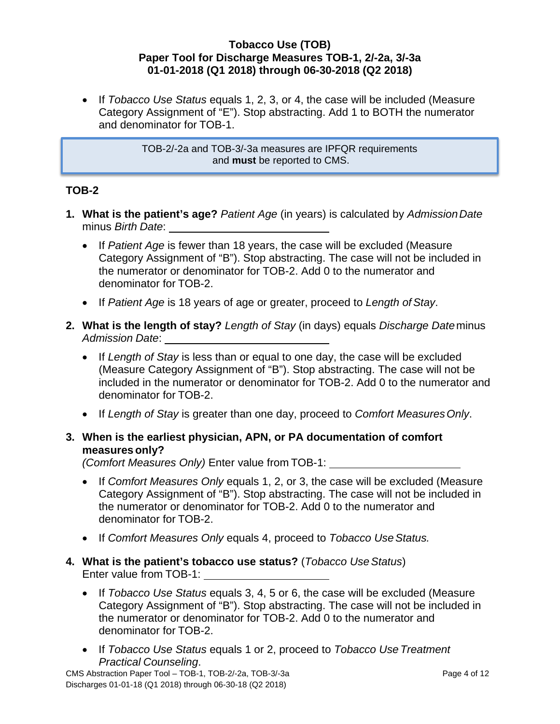• If *Tobacco Use Status* equals 1, 2, 3, or 4, the case will be included (Measure Category Assignment of "E"). Stop abstracting. Add 1 to BOTH the numerator and denominator for TOB-1.

> TOB-2/-2a and TOB-3/-3a measures are IPFQR requirements and **must** be reported to CMS.

### **TOB-2**

- **1. What is the patient's age?** *Patient Age* (in years) is calculated by *AdmissionDate* minus *Birth Date*:
	- If Patient Age is fewer than 18 years, the case will be excluded (Measure Category Assignment of "B"). Stop abstracting. The case will not be included in the numerator or denominator for TOB-2. Add 0 to the numerator and denominator for TOB-2.
	- If *Patient Age* is 18 years of age or greater, proceed to *Length of Stay*.
- **2. What is the length of stay?** *Length of Stay* (in days) equals *Discharge Date*minus *Admission Date*:
	- If *Length of Stay* is less than or equal to one day, the case will be excluded (Measure Category Assignment of "B"). Stop abstracting. The case will not be included in the numerator or denominator for TOB-2. Add 0 to the numerator and denominator for TOB-2.
	- If *Length of Stay* is greater than one day, proceed to *Comfort MeasuresOnly*.
- **3. When is the earliest physician, APN, or PA documentation of comfort measures only?**

*(Comfort Measures Only)* Enter value from TOB-1:

- If *Comfort Measures Only* equals 1, 2, or 3, the case will be excluded (Measure Category Assignment of "B"). Stop abstracting. The case will not be included in the numerator or denominator for TOB-2. Add 0 to the numerator and denominator for TOB-2.
- If *Comfort Measures Only* equals 4, proceed to *Tobacco Use Status.*
- **4. What is the patient's tobacco use status?** (*Tobacco UseStatus*) Enter value from TOB-1:
	- If *Tobacco Use Status* equals 3, 4, 5 or 6, the case will be excluded (Measure Category Assignment of "B"). Stop abstracting. The case will not be included in the numerator or denominator for TOB-2. Add 0 to the numerator and denominator for TOB-2.
	- If *Tobacco Use Status* equals 1 or 2, proceed to *Tobacco Use Treatment Practical Counseling*.

CMS Abstraction Paper Tool – TOB-1, TOB-2/-2a, TOB-3/-3a Discharges 01-01-18 (Q1 2018) through 06-30-18 (Q2 2018)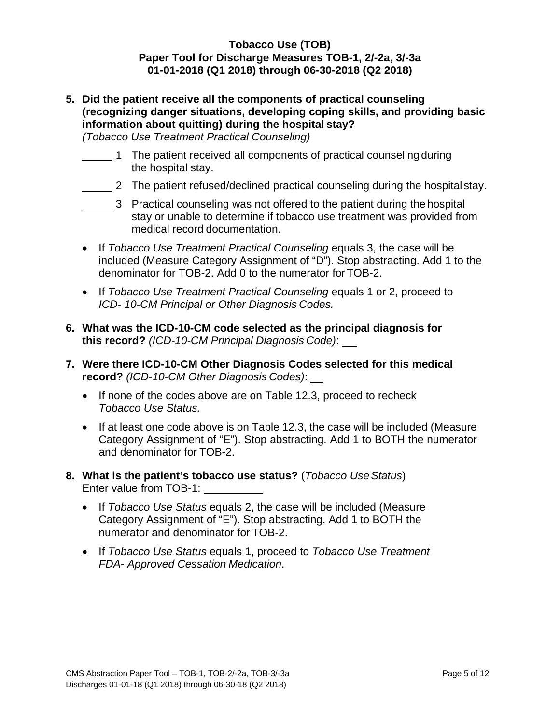**5. Did the patient receive all the components of practical counseling (recognizing danger situations, developing coping skills, and providing basic information about quitting) during the hospital stay?**

*(Tobacco Use Treatment Practical Counseling)*

- <sup>1</sup> The patient received all components of practical counseling during the hospital stay.
- 2 The patient refused/declined practical counseling during the hospital stay.
- 3 Practical counseling was not offered to the patient during the hospital stay or unable to determine if tobacco use treatment was provided from medical record documentation.
- If *Tobacco Use Treatment Practical Counseling* equals 3, the case will be included (M*e*asure Category Assignment of "D"). Stop abstracting. Add 1 to the denominator for TOB-2. Add 0 to the numerator for TOB-2.
- If *Tobacco Use Treatment Practical Counseling* equals 1 or 2, proceed to *ICD- 10-CM Principal or Other Diagnosis Codes.*
- **6. What was the ICD-10-CM code selected as the principal diagnosis for this record?** *(ICD-10-CM Principal Diagnosis Code)*:
- **7. Were there ICD-10-CM Other Diagnosis Codes selected for this medical record?** *(ICD-10-CM Other Diagnosis Codes)*:
	- If none of the codes above are on Table 12.3, proceed to recheck *Tobacco Use Status.*
	- If at least one code above is on Table 12.3, the case will be included (Measure Category Assignment of "E"). Stop abstracting. Add 1 to BOTH the numerator and denominator for TOB-2.
- **8. What is the patient's tobacco use status?** (*Tobacco UseStatus*) Enter value from TOB-1:
	- If *Tobacco Use Status* equals 2, the case will be included (Measure Category Assignment of "E"). Stop abstracting. Add 1 to BOTH the numerator and denominator for TOB-2.
	- If *Tobacco Use Status* equals 1, proceed to *Tobacco Use Treatment FDA- Approved Cessation Medication*.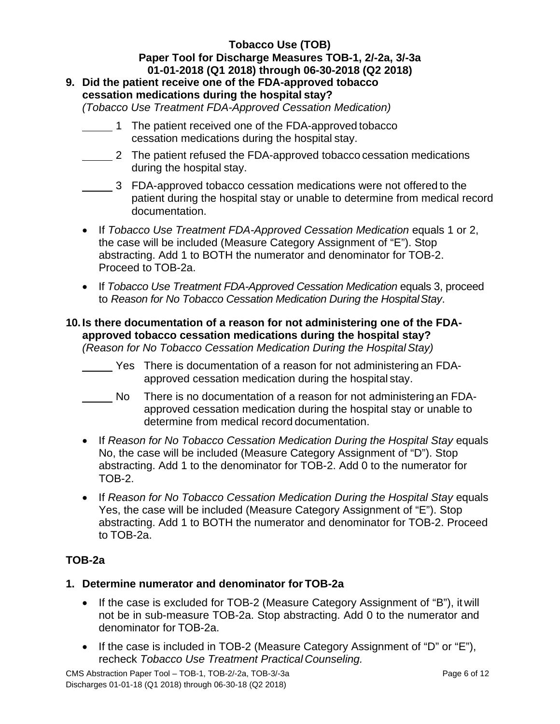# **9. Did the patient receive one of the FDA-approved tobacco cessation medications during the hospital stay?**

*(Tobacco Use Treatment FDA-Approved Cessation Medication)*

- 1 The patient received one of the FDA-approved tobacco cessation medications during the hospital stay.
- 2 The patient refused the FDA-approved tobacco cessation medications during the hospital stay.
- 3 FDA-approved tobacco cessation medications were not offered to the patient during the hospital stay or unable to determine from medical record documentation.
- If *Tobacco Use Treatment FDA-Approved Cessation Medication* equals 1 or 2, the case will be included (Measure Category Assignment of "E"). Stop abstracting. Add 1 to BOTH the numerator and denominator for TOB-2. Proceed to TOB-2a.
- If *Tobacco Use Treatment FDA-Approved Cessation Medication* equals 3, proceed to *Reason for No Tobacco Cessation Medication During the HospitalStay*.

# **10. Is there documentation of a reason for not administering one of the FDAapproved tobacco cessation medications during the hospital stay?**

*(Reason for No Tobacco Cessation Medication During the HospitalStay)*

- Yes There is documentation of a reason for not administering an FDAapproved cessation medication during the hospital stay.
- No There is no documentation of a reason for not administering an FDAapproved cessation medication during the hospital stay or unable to determine from medical record documentation.
- If *Reason for No Tobacco Cessation Medication During the Hospital Stay equals* No, the case will be included (Measure Category Assignment of "D"). Stop abstracting. Add 1 to the denominator for TOB-2. Add 0 to the numerator for TOB-2.
- If *Reason for No Tobacco Cessation Medication During the Hospital Stay equals* Yes, the case will be included (Measure Category Assignment of "E"). Stop abstracting. Add 1 to BOTH the numerator and denominator for TOB-2. Proceed to TOB-2a.

# **TOB-2a**

### **1. Determine numerator and denominator for TOB-2a**

- If the case is excluded for TOB-2 (Measure Category Assignment of "B"), it will not be in sub-measure TOB-2a. Stop abstracting. Add 0 to the numerator and denominator for TOB-2a.
- If the case is included in TOB-2 (Measure Category Assignment of "D" or "E"), recheck *Tobacco Use Treatment Practical Counseling.*

CMS Abstraction Paper Tool – TOB-1, TOB-2/-2a, TOB-3/-3a Discharges 01-01-18 (Q1 2018) through 06-30-18 (Q2 2018)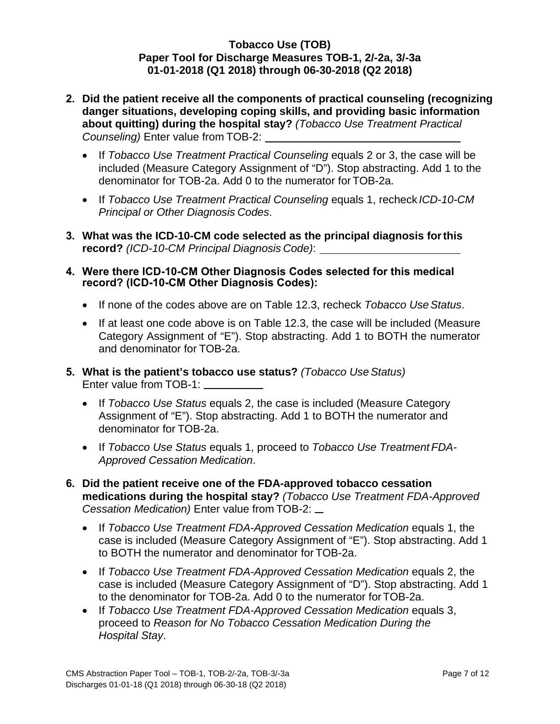- **2. Did the patient receive all the components of practical counseling (recognizing danger situations, developing coping skills, and providing basic information about quitting) during the hospital stay?** *(Tobacco Use Treatment Practical Counseling)* Enter value from TOB-2:
	- If *Tobacco Use Treatment Practical Counseling* equals 2 or 3, the case will be included (Measure Category Assignment of "D"). Stop abstracting. Add 1 to the denominator for TOB-2a. Add 0 to the numerator for TOB-2a.
	- If *Tobacco Use Treatment Practical Counseling* equals 1, recheck *ICD-10-CM Principal or Other Diagnosis Codes*.
- **3. What was the ICD-10-CM code selected as the principal diagnosis forthis record?** *(ICD-10-CM Principal Diagnosis Code)*:
- **4. Were there ICD-10-CM Other Diagnosis Codes selected for this medical record? (ICD-10-CM Other Diagnosis Codes):** 
	- If none of the codes above are on Table 12.3, recheck *Tobacco Use Status*.
	- If at least one code above is on Table 12.3, the case will be included (Measure Category Assignment of "E"). Stop abstracting. Add 1 to BOTH the numerator and denominator for TOB-2a.
- **5. What is the patient's tobacco use status?** *(Tobacco UseStatus)* Enter value from TOB-1:
	- If *Tobacco Use Status* equals 2, the case is included (Measure Category Assignment of "E"). Stop abstracting. Add 1 to BOTH the numerator and denominator for TOB-2a.
	- If *Tobacco Use Status* equals 1, proceed to *Tobacco Use Treatment FDA-Approved Cessation Medication*.
- **6. Did the patient receive one of the FDA-approved tobacco cessation medications during the hospital stay?** *(Tobacco Use Treatment FDA-Approved Cessation Medication)* Enter value from TOB-2:
	- If *Tobacco Use Treatment FDA-Approved Cessation Medication* equals 1, the case is included (M*e*asure Category Assignment of "E"). Stop abstracting. Add 1 to BOTH the numerator and denominator for TOB-2a.
	- If *Tobacco Use Treatment FDA-Approved Cessation Medication* equals 2, the case is included (Measure Category Assignment of "D"). Stop abstracting. Add 1 to the denominator for TOB-2a. Add 0 to the numerator forTOB-2a.
	- If *Tobacco Use Treatment FDA-Approved Cessation Medication* equals 3, proceed to *Reason for No Tobacco Cessation Medication During the Hospital Stay*.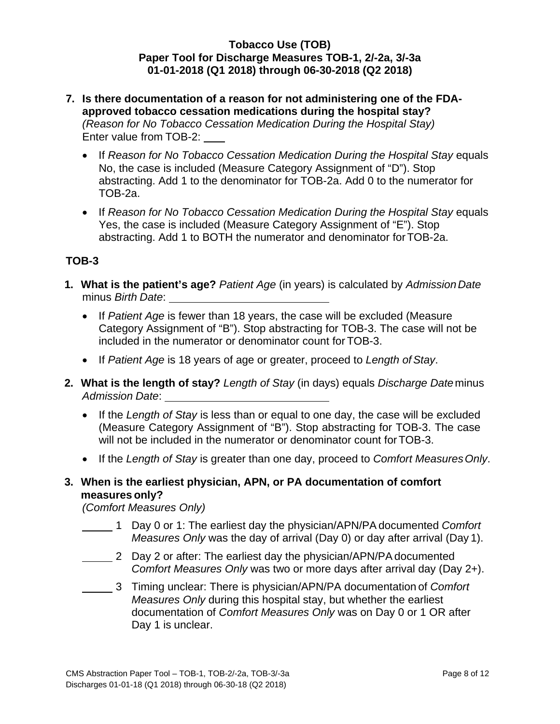- **7. Is there documentation of a reason for not administering one of the FDAapproved tobacco cessation medications during the hospital stay?**  *(Reason for No Tobacco Cessation Medication During the Hospital Stay)*  Enter value from TOB-2:
	- If *Reason for No Tobacco Cessation Medication During the Hospital Stay equals* No, the case is included (Measure Category Assignment of "D"). Stop abstracting. Add 1 to the denominator for TOB-2a. Add 0 to the numerator for TOB-2a.
	- If *Reason for No Tobacco Cessation Medication During the Hospital Stay equals* Yes, the case is included (Measure Category Assignment of "E"). Stop abstracting. Add 1 to BOTH the numerator and denominator forTOB-2a.

### **TOB-3**

- **1. What is the patient's age?** *Patient Age* (in years) is calculated by *AdmissionDate* minus *Birth Date*:
	- If *Patient Age* is fewer than 18 years, the case will be excluded (Measure Category Assignment of "B"). Stop abstracting for TOB-3. The case will not be included in the numerator or denominator count for TOB-3.
	- If *Patient Age* is 18 years of age or greater, proceed to *Length ofStay*.
- **2. What is the length of stay?** *Length of Stay* (in days) equals *Discharge Date*minus *Admission Date*:
	- If the *Length of Stay* is less than or equal to one day, the case will be excluded (Measure Category Assignment of "B"). Stop abstracting for TOB-3. The case will not be included in the numerator or denominator count for TOB-3.
	- If the *Length of Stay* is greater than one day, proceed to *Comfort MeasuresOnly*.

### **3. When is the earliest physician, APN, or PA documentation of comfort measures only?**

*(Comfort Measures Only)*

- 1 Day 0 or 1: The earliest day the physician/APN/PAdocumented *Comfort Measures Only* was the day of arrival (Day 0) or day after arrival (Day 1).
- 2 Day 2 or after: The earliest day the physician/APN/PA documented *Comfort Measures Only* was two or more days after arrival day (Day 2+).
- 3 Timing unclear: There is physician/APN/PA documentation of *Comfort Measures Only* during this hospital stay, but whether the earliest documentation of *Comfort Measures Only* was on Day 0 or 1 OR after Day 1 is unclear.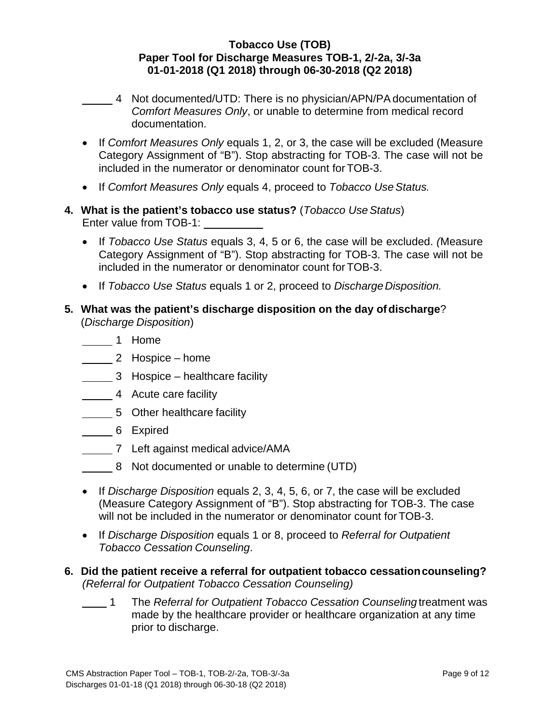- 4 Not documented/UTD: There is no physician/APN/PAdocumentation of *Comfort Measures Only*, or unable to determine from medical record documentation.
- If *Comfort Measures Only* equals 1, 2, or 3, the case will be excluded (Measure Category Assignment of "B"). Stop abstracting for TOB-3. The case will not be included in the numerator or denominator count for TOB-3.
- If *Comfort Measures Only* equals 4, proceed to *Tobacco Use Status.*
- **4. What is the patient's tobacco use status?** (*Tobacco UseStatus*) Enter value from TOB-1:
	- If *Tobacco Use Status* equals 3, 4, 5 or 6, the case will be excluded. *(*Measure Category Assignment of "B"). Stop abstracting for TOB-3. The case will not be included in the numerator or denominator count for TOB-3.
	- If *Tobacco Use Status* equals 1 or 2, proceed to *Discharge Disposition.*
- **5. What was the patient's discharge disposition on the day ofdischarge**? (*Discharge Disposition*)
	- **1** Home
	- 2 Hospice home
	- 3 Hospice healthcare facility
	- 4 Acute care facility
	- 5 Other healthcare facility
	- **6** Expired
	- **7** Left against medical advice/AMA
	- 8 Not documented or unable to determine (UTD)
	- If *Discharge Disposition* equals 2, 3, 4, 5, 6, or 7, the case will be excluded (Measure Category Assignment of "B"). Stop abstracting for TOB-3. The case will not be included in the numerator or denominator count for TOB-3.
	- If *Discharge Disposition* equals 1 or 8, proceed to *Referral for Outpatient Tobacco Cessation Counseling*.
- **6. Did the patient receive a referral for outpatient tobacco cessationcounseling?** *(Referral for Outpatient Tobacco Cessation Counseling)*
	- 1 The *Referral for Outpatient Tobacco Cessation Counseling* treatment was made by the healthcare provider or healthcare organization at any time prior to discharge.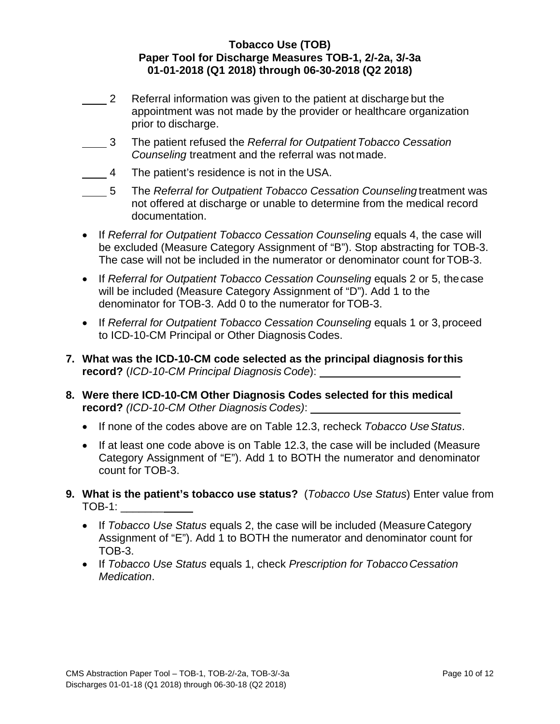- 2 Referral information was given to the patient at discharge but the appointment was not made by the provider or healthcare organization prior to discharge.
- 3 The patient refused the *Referral for Outpatient Tobacco Cessation Counseling* treatment and the referral was not made.
- 4 The patient's residence is not in the USA.
- 5 The *Referral for Outpatient Tobacco Cessation Counseling* treatment was not offered at discharge or unable to determine from the medical record documentation.
- If *Referral for Outpatient Tobacco Cessation Counseling equals 4, the case will* be excluded (Measure Category Assignment of "B"). Stop abstracting for TOB-3. The case will not be included in the numerator or denominator count forTOB-3.
- If *Referral for Outpatient Tobacco Cessation Counseling equals 2 or 5, the case* will be included (Measure Category Assignment of "D"). Add 1 to the denominator for TOB-3. Add 0 to the numerator for TOB-3.
- If *Referral for Outpatient Tobacco Cessation Counseling equals 1 or 3, proceed* to ICD-10-CM Principal or Other Diagnosis Codes.
- **7. What was the ICD-10-CM code selected as the principal diagnosis forthis record?** (*ICD-10-CM Principal Diagnosis Code*):
- **8. Were there ICD-10-CM Other Diagnosis Codes selected for this medical record?** *(ICD-10-CM Other Diagnosis Codes)*:
	- If none of the codes above are on Table 12.3, recheck *Tobacco Use Status*.
	- If at least one code above is on Table 12.3, the case will be included (Measure Category Assignment of "E"). Add 1 to BOTH the numerator and denominator count for TOB-3.
- **9. What is the patient's tobacco use status?** (*Tobacco Use Status*) Enter value from TOB-1: \_\_\_\_\_\_\_
	- If *Tobacco Use Status* equals 2, the case will be included (MeasureCategory Assignment of "E"). Add 1 to BOTH the numerator and denominator count for TOB-3.
	- If *Tobacco Use Status* equals 1, check *Prescription for Tobacco Cessation Medication*.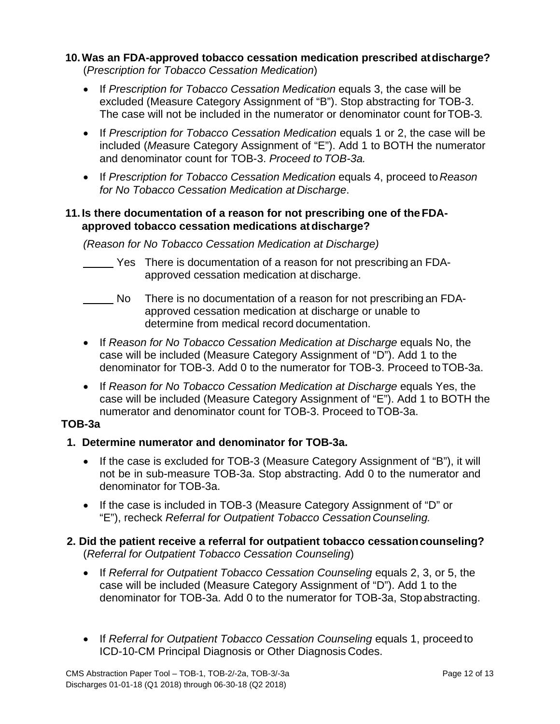# **10.Was an FDA-approved tobacco cessation medication prescribed atdischarge?**

(*Prescription for Tobacco Cessation Medication*)

- If *Prescription for Tobacco Cessation Medication* equals 3, the case will be excluded (Measure Category Assignment of "B"). Stop abstracting for TOB-3. The case will not be included in the numerator or denominator count forTOB-3*.*
- If *Prescription for Tobacco Cessation Medication* equals 1 or 2, the case will be included (*Me*asure Category Assignment of "E"). Add 1 to BOTH the numerator and denominator count for TOB-3. *Proceed to TOB-3a.*
- If *Prescription for Tobacco Cessation Medication* equals 4, proceed to*Reason for No Tobacco Cessation Medication at Discharge*.

### **11. Is there documentation of a reason for not prescribing one of theFDAapproved tobacco cessation medications atdischarge?**

*(Reason for No Tobacco Cessation Medication at Discharge)*

- Yes There is documentation of a reason for not prescribing an FDAapproved cessation medication at discharge.
- No There is no documentation of a reason for not prescribing an FDAapproved cessation medication at discharge or unable to determine from medical record documentation.
- If *Reason for No Tobacco Cessation Medication at Discharge equals No, the* case will be included (Measure Category Assignment of "D"). Add 1 to the denominator for TOB-3. Add 0 to the numerator for TOB-3. Proceed toTOB-3a.
- If *Reason for No Tobacco Cessation Medication at Discharge equals Yes, the* case will be included (Measure Category Assignment of "E"). Add 1 to BOTH the numerator and denominator count for TOB-3. Proceed toTOB-3a.

# **TOB-3a**

# **1. Determine numerator and denominator for TOB-3a.**

- If the case is excluded for TOB-3 (Measure Category Assignment of "B"), it will not be in sub-measure TOB-3a. Stop abstracting. Add 0 to the numerator and denominator for TOB-3a.
- If the case is included in TOB-3 (Measure Category Assignment of "D" or "E"), recheck *Referral for Outpatient Tobacco CessationCounseling.*

### **2. Did the patient receive a referral for outpatient tobacco cessationcounseling?** (*Referral for Outpatient Tobacco Cessation Counseling*)

- If *Referral for Outpatient Tobacco Cessation Counseling equals 2, 3, or 5, the* case will be included (Measure Category Assignment of "D"). Add 1 to the denominator for TOB-3a. Add 0 to the numerator for TOB-3a, Stopabstracting.
- If *Referral for Outpatient Tobacco Cessation Counseling equals 1, proceed to* ICD-10-CM Principal Diagnosis or Other Diagnosis Codes.